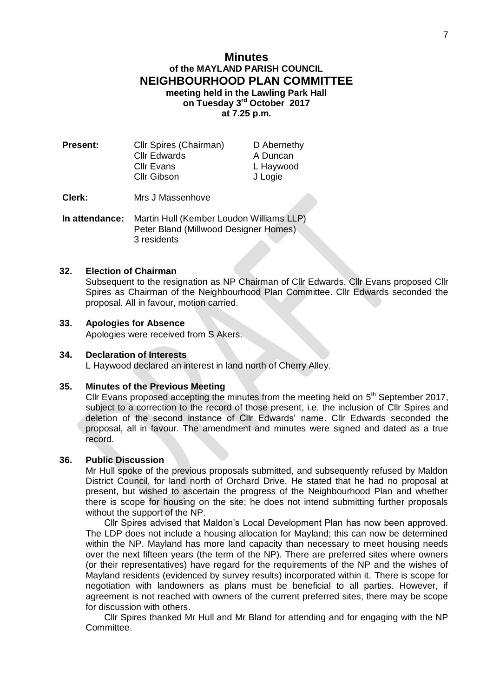# **Minutes of the MAYLAND PARISH COUNCIL NEIGHBOURHOOD PLAN COMMITTEE meeting held in the Lawling Park Hall on Tuesday 3 rd October 2017 at 7.25 p.m.**

| <b>Present:</b> | Cllr Spires (Chairman) | D Abernethy |
|-----------------|------------------------|-------------|
|                 | <b>Cllr Edwards</b>    | A Duncan    |
|                 | <b>Cllr Evans</b>      | L Haywood   |
|                 | Cllr Gibson            | J Logie     |
|                 |                        |             |

**Clerk:** Mrs J Massenhove

**In attendance:** Martin Hull (Kember Loudon Williams LLP) Peter Bland (Millwood Designer Homes) 3 residents

#### **32. Election of Chairman**

Subsequent to the resignation as NP Chairman of Cllr Edwards, Cllr Evans proposed Cllr Spires as Chairman of the Neighbourhood Plan Committee. Cllr Edwards seconded the proposal. All in favour, motion carried.

#### **33. Apologies for Absence**

Apologies were received from S Akers.

#### **34. Declaration of Interests**

L Haywood declared an interest in land north of Cherry Alley.

#### **35. Minutes of the Previous Meeting**

Cllr Evans proposed accepting the minutes from the meeting held on  $5<sup>th</sup>$  September 2017, subject to a correction to the record of those present, i.e. the inclusion of Cllr Spires and deletion of the second instance of Cllr Edwards' name. Cllr Edwards seconded the proposal, all in favour. The amendment and minutes were signed and dated as a true record.

#### **36. Public Discussion**

Mr Hull spoke of the previous proposals submitted, and subsequently refused by Maldon District Council, for land north of Orchard Drive. He stated that he had no proposal at present, but wished to ascertain the progress of the Neighbourhood Plan and whether there is scope for housing on the site; he does not intend submitting further proposals without the support of the NP.

Cllr Spires advised that Maldon's Local Development Plan has now been approved. The LDP does not include a housing allocation for Mayland; this can now be determined within the NP. Mayland has more land capacity than necessary to meet housing needs over the next fifteen years (the term of the NP). There are preferred sites where owners (or their representatives) have regard for the requirements of the NP and the wishes of Mayland residents (evidenced by survey results) incorporated within it. There is scope for negotiation with landowners as plans must be beneficial to all parties. However, if agreement is not reached with owners of the current preferred sites, there may be scope for discussion with others.

Cllr Spires thanked Mr Hull and Mr Bland for attending and for engaging with the NP Committee.